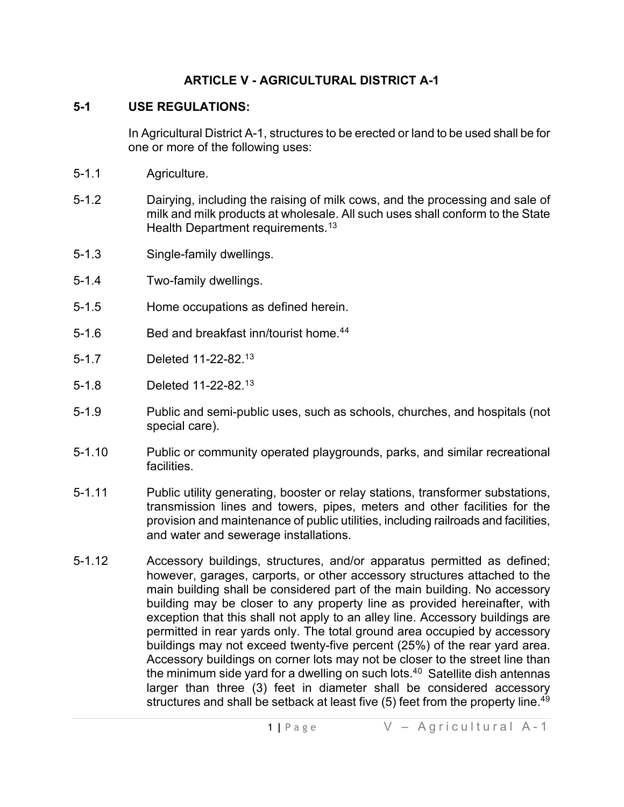### **ARTICLE V - AGRICULTURAL DISTRICT A-1**

#### **5-1 USE REGULATIONS:**

In Agricultural District A-1, structures to be erected or land to be used shall be for one or more of the following uses:

- 5-1.1 Agriculture.
- 5-1.2 Dairying, including the raising of milk cows, and the processing and sale of milk and milk products at wholesale. All such uses shall conform to the State Health Department requirements.<sup>[13](#page-5-0)</sup>
- 5-1.3 Single-family dwellings.
- 5-1.4 Two-family dwellings.
- 5-1.5 Home occupations as defined herein.
- 5-1.6 Bed and breakfast inn/tourist home.<sup>[44](#page-5-1)</sup>
- 5-1.7 Deleted 11-22-82.1[3](#page-5-2)
- 5-1.8 Deleted 11-22-82.1[3](#page-5-3)
- 5-1.9 Public and semi-public uses, such as schools, churches, and hospitals (not special care).
- 5-1.10 Public or community operated playgrounds, parks, and similar recreational facilities.
- 5-1.11 Public utility generating, booster or relay stations, transformer substations, transmission lines and towers, pipes, meters and other facilities for the provision and maintenance of public utilities, including railroads and facilities, and water and sewerage installations.
- 5-1.12 Accessory buildings, structures, and/or apparatus permitted as defined; however, garages, carports, or other accessory structures attached to the main building shall be considered part of the main building. No accessory building may be closer to any property line as provided hereinafter, with exception that this shall not apply to an alley line. Accessory buildings are permitted in rear yards only. The total ground area occupied by accessory buildings may not exceed twenty-five percent (25%) of the rear yard area. Accessory buildings on corner lots may not be closer to the street line than the minimum side yard for a dwelling on such lots. $40$  $40$  Satellite dish antennas larger than three (3) feet in diameter shall be considered accessory structures and shall be setback at least five  $(5)$  feet from the property line.<sup>[49](#page-5-5)</sup>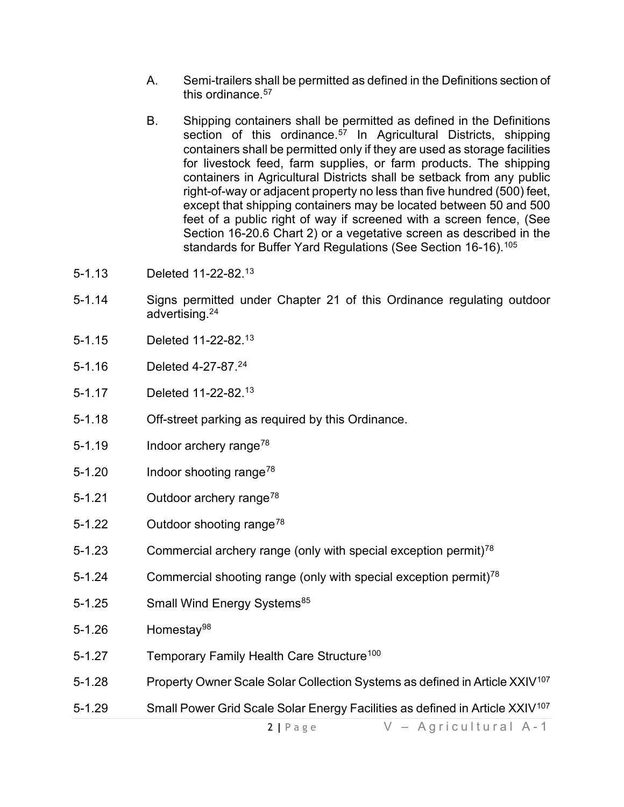- A. Semi-trailers shall be permitted as defined in the Definitions section of this ordinance  $57$
- B. Shipping containers shall be permitted as defined in the Definitions section of this ordinance.<sup>[57](#page-5-7)</sup> In Agricultural Districts, shipping containers shall be permitted only if they are used as storage facilities for livestock feed, farm supplies, or farm products. The shipping containers in Agricultural Districts shall be setback from any public right-of-way or adjacent property no less than five hundred (500) feet, except that shipping containers may be located between 50 and 500 feet of a public right of way if screened with a screen fence, (See Section 16-20.6 Chart 2) or a vegetative screen as described in the standards for Buffer Yard Regulations (See Section 16-16).<sup>[105](#page-5-8)</sup>
- 5-1.13 Deleted 11-22-82.1[3](#page-5-9)
- 5-1.14 Signs permitted under Chapter 21 of this Ordinance regulating outdoor advertising.2[4](#page-5-10)
- 5-1.15 Deleted 11-22-82.1[3](#page-5-11)
- 5-1.16 Deleted 4-27-87.2[4](#page-5-12)
- 5-1.17 Deleted 11-22-82.1[3](#page-5-13)
- 5-1.18 Off-street parking as required by this Ordinance.
- 5-1.19 Indoor archery range<sup>[78](#page-5-14)</sup>
- 5-1.20 Indoor shooting range<sup>[78](#page-5-15)</sup>
- 5-1.21 Outdoor archery range<sup>[78](#page-5-16)</sup>
- 5-1.22 Outdoor shooting range<sup>[78](#page-5-17)</sup>
- 5-1.23 **Commercial archery range (only with special exception permit)**<sup>[78](#page-5-18)</sup>
- 5-1.24 **Commercial shooting range (only with special exception permit)<sup>[78](#page-5-19)</sup>**
- 5-1.25 Small Wind Energy Systems<sup>[85](#page-5-20)</sup>
- 5-1.26 Homesta[y98](#page-5-21)
- 5-1.27 Temporary Family Health Care Structure<sup>[100](#page-5-22)</sup>
- 5-1.28 Property Owner Scale Solar Collection Systems as defined in Article XXIV<sup>[107](#page-5-23)</sup>
- 5-1.29 Small Power Grid Scale Solar Energy Facilities as defined in Article XXIV<sup>[107](#page-5-24)</sup>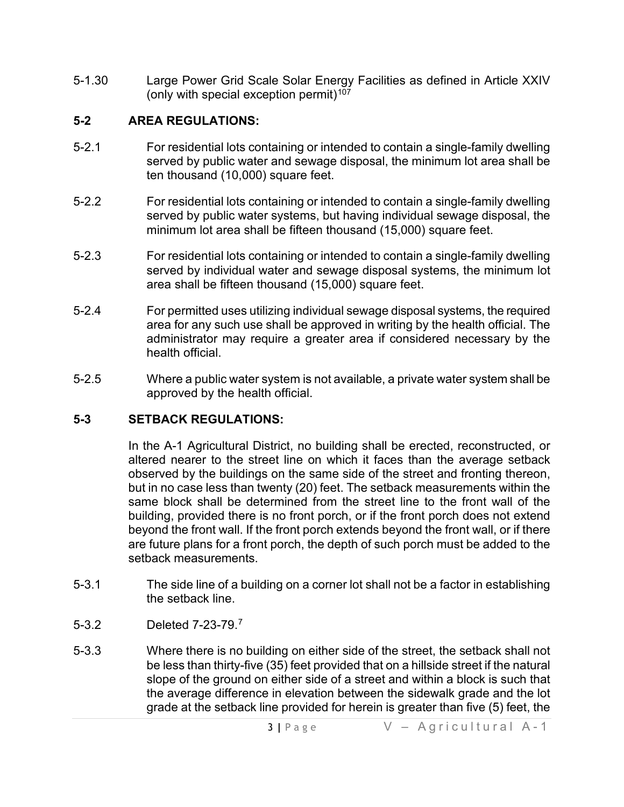5-1.30 Large Power Grid Scale Solar Energy Facilities as defined in Article XXIV (only with special exception permit) $107$ 

### **5-2 AREA REGULATIONS:**

- 5-2.1 For residential lots containing or intended to contain a single-family dwelling served by public water and sewage disposal, the minimum lot area shall be ten thousand (10,000) square feet.
- 5-2.2 For residential lots containing or intended to contain a single-family dwelling served by public water systems, but having individual sewage disposal, the minimum lot area shall be fifteen thousand (15,000) square feet.
- 5-2.3 For residential lots containing or intended to contain a single-family dwelling served by individual water and sewage disposal systems, the minimum lot area shall be fifteen thousand (15,000) square feet.
- 5-2.4 For permitted uses utilizing individual sewage disposal systems, the required area for any such use shall be approved in writing by the health official. The administrator may require a greater area if considered necessary by the health official.
- 5-2.5 Where a public water system is not available, a private water system shall be approved by the health official.

#### **5-3 SETBACK REGULATIONS:**

In the A-1 Agricultural District, no building shall be erected, reconstructed, or altered nearer to the street line on which it faces than the average setback observed by the buildings on the same side of the street and fronting thereon, but in no case less than twenty (20) feet. The setback measurements within the same block shall be determined from the street line to the front wall of the building, provided there is no front porch, or if the front porch does not extend beyond the front wall. If the front porch extends beyond the front wall, or if there are future plans for a front porch, the depth of such porch must be added to the setback measurements.

- 5-3.1 The side line of a building on a corner lot shall not be a factor in establishing the setback line.
- 5-3.2 Deleted 7-23-79.[7](#page-5-26)
- 5-3.3 Where there is no building on either side of the street, the setback shall not be less than thirty-five (35) feet provided that on a hillside street if the natural slope of the ground on either side of a street and within a block is such that the average difference in elevation between the sidewalk grade and the lot grade at the setback line provided for herein is greater than five (5) feet, the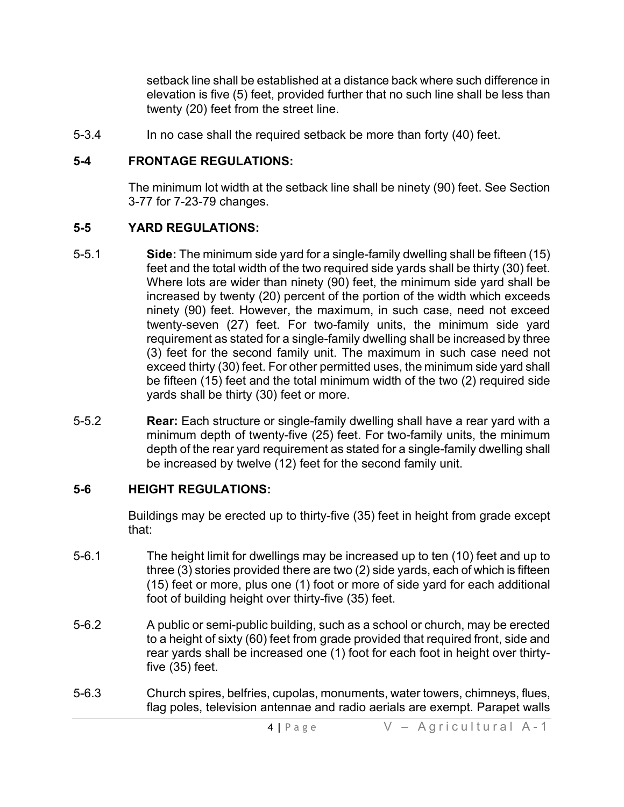setback line shall be established at a distance back where such difference in elevation is five (5) feet, provided further that no such line shall be less than twenty (20) feet from the street line.

5-3.4 In no case shall the required setback be more than forty (40) feet.

### **5-4 FRONTAGE REGULATIONS:**

The minimum lot width at the setback line shall be ninety (90) feet. See Section 3-77 for 7-23-79 changes.

### **5-5 YARD REGULATIONS:**

- 5-5.1 **Side:** The minimum side yard for a single-family dwelling shall be fifteen (15) feet and the total width of the two required side yards shall be thirty (30) feet. Where lots are wider than ninety (90) feet, the minimum side yard shall be increased by twenty (20) percent of the portion of the width which exceeds ninety (90) feet. However, the maximum, in such case, need not exceed twenty-seven (27) feet. For two-family units, the minimum side yard requirement as stated for a single-family dwelling shall be increased by three (3) feet for the second family unit. The maximum in such case need not exceed thirty (30) feet. For other permitted uses, the minimum side yard shall be fifteen (15) feet and the total minimum width of the two (2) required side yards shall be thirty (30) feet or more.
- 5-5.2 **Rear:** Each structure or single-family dwelling shall have a rear yard with a minimum depth of twenty-five (25) feet. For two-family units, the minimum depth of the rear yard requirement as stated for a single-family dwelling shall be increased by twelve (12) feet for the second family unit.

# **5-6 HEIGHT REGULATIONS:**

Buildings may be erected up to thirty-five (35) feet in height from grade except that:

- 5-6.1 The height limit for dwellings may be increased up to ten (10) feet and up to three (3) stories provided there are two (2) side yards, each of which is fifteen (15) feet or more, plus one (1) foot or more of side yard for each additional foot of building height over thirty-five (35) feet.
- 5-6.2 A public or semi-public building, such as a school or church, may be erected to a height of sixty (60) feet from grade provided that required front, side and rear yards shall be increased one (1) foot for each foot in height over thirtyfive (35) feet.
- 5-6.3 Church spires, belfries, cupolas, monuments, water towers, chimneys, flues, flag poles, television antennae and radio aerials are exempt. Parapet walls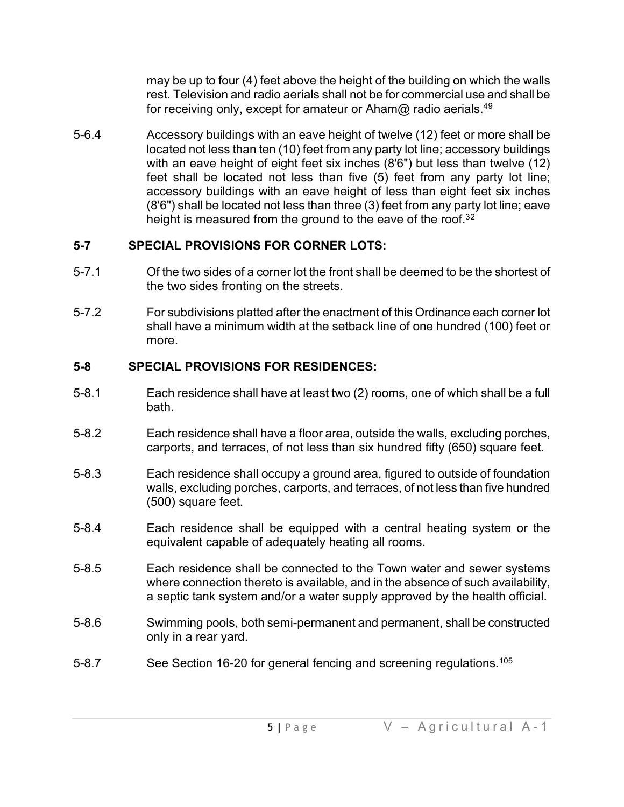may be up to four (4) feet above the height of the building on which the walls rest. Television and radio aerials shall not be for commercial use and shall be for receiving only, except for amateur or Aham@ radio aerials.<sup>4[9](#page-5-27)</sup>

5-6.4 Accessory buildings with an eave height of twelve (12) feet or more shall be located not less than ten (10) feet from any party lot line; accessory buildings with an eave height of eight feet six inches (8'6") but less than twelve (12) feet shall be located not less than five (5) feet from any party lot line; accessory buildings with an eave height of less than eight feet six inches (8'6") shall be located not less than three (3) feet from any party lot line; eave height is measured from the ground to the eave of the roof.<sup>3[2](#page-5-28)</sup>

# **5-7 SPECIAL PROVISIONS FOR CORNER LOTS:**

- 5-7.1 Of the two sides of a corner lot the front shall be deemed to be the shortest of the two sides fronting on the streets.
- 5-7.2 For subdivisions platted after the enactment of this Ordinance each corner lot shall have a minimum width at the setback line of one hundred (100) feet or more.

# **5-8 SPECIAL PROVISIONS FOR RESIDENCES:**

- 5-8.1 Each residence shall have at least two (2) rooms, one of which shall be a full bath.
- 5-8.2 Each residence shall have a floor area, outside the walls, excluding porches, carports, and terraces, of not less than six hundred fifty (650) square feet.
- 5-8.3 Each residence shall occupy a ground area, figured to outside of foundation walls, excluding porches, carports, and terraces, of not less than five hundred (500) square feet.
- 5-8.4 Each residence shall be equipped with a central heating system or the equivalent capable of adequately heating all rooms.
- 5-8.5 Each residence shall be connected to the Town water and sewer systems where connection thereto is available, and in the absence of such availability, a septic tank system and/or a water supply approved by the health official.
- 5-8.6 Swimming pools, both semi-permanent and permanent, shall be constructed only in a rear yard.
- 5-8.7 See Section 16-20 for general fencing and screening regulations.<sup>[105](#page-5-29)</sup>